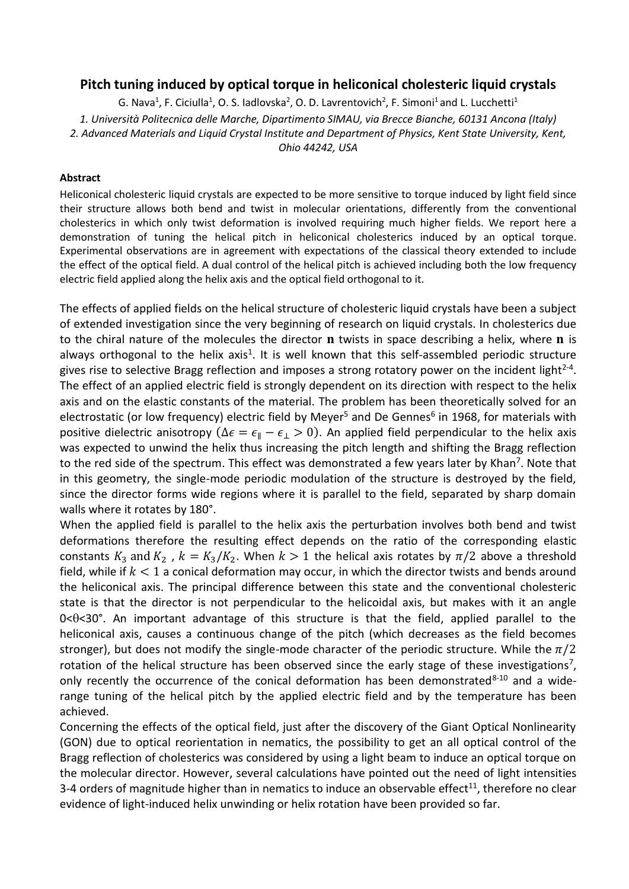## **Pitch tuning induced by optical torque in heliconical cholesteric liquid crystals**

G. Nava<sup>1</sup>, F. Ciciulla<sup>1</sup>, O. S. Iadlovska<sup>2</sup>, O. D. Lavrentovich<sup>2</sup>, F. Simoni<sup>1</sup> and L. Lucchetti<sup>1</sup> *1. Università Politecnica delle Marche, Dipartimento SIMAU, via Brecce Bianche, 60131 Ancona (Italy) 2. Advanced Materials and Liquid Crystal Institute and Department of Physics, Kent State University, Kent, Ohio 44242, USA*

## **Abstract**

Heliconical cholesteric liquid crystals are expected to be more sensitive to torque induced by light field since their structure allows both bend and twist in molecular orientations, differently from the conventional cholesterics in which only twist deformation is involved requiring much higher fields. We report here a demonstration of tuning the helical pitch in heliconical cholesterics induced by an optical torque. Experimental observations are in agreement with expectations of the classical theory extended to include the effect of the optical field. A dual control of the helical pitch is achieved including both the low frequency electric field applied along the helix axis and the optical field orthogonal to it.

The effects of applied fields on the helical structure of cholesteric liquid crystals have been a subject of extended investigation since the very beginning of research on liquid crystals. In cholesterics due to the chiral nature of the molecules the director  **twists in space describing a helix, where**  $**n**$  **is** always orthogonal to the helix axis<sup>1</sup>. It is well known that this self-assembled periodic structure gives rise to selective Bragg reflection and imposes a strong rotatory power on the incident light<sup>2-4</sup>. The effect of an applied electric field is strongly dependent on its direction with respect to the helix axis and on the elastic constants of the material. The problem has been theoretically solved for an electrostatic (or low frequency) electric field by Meyer<sup>5</sup> and De Gennes<sup>6</sup> in 1968, for materials with positive dielectric anisotropy ( $\Delta \epsilon = \epsilon_{\parallel} - \epsilon_{\perp} > 0$ ). An applied field perpendicular to the helix axis was expected to unwind the helix thus increasing the pitch length and shifting the Bragg reflection to the red side of the spectrum. This effect was demonstrated a few years later by Khan<sup>7</sup>. Note that in this geometry, the single-mode periodic modulation of the structure is destroyed by the field, since the director forms wide regions where it is parallel to the field, separated by sharp domain walls where it rotates by 180°.

When the applied field is parallel to the helix axis the perturbation involves both bend and twist deformations therefore the resulting effect depends on the ratio of the corresponding elastic constants  $K_3$  and  $K_2$ ,  $k = K_3/K_2$ . When  $k > 1$  the helical axis rotates by  $\pi/2$  above a threshold field, while if  $k < 1$  a conical deformation may occur, in which the director twists and bends around the heliconical axis. The principal difference between this state and the conventional cholesteric state is that the director is not perpendicular to the helicoidal axis, but makes with it an angle  $0 < \theta < 30$ °. An important advantage of this structure is that the field, applied parallel to the heliconical axis, causes a continuous change of the pitch (which decreases as the field becomes stronger), but does not modify the single-mode character of the periodic structure. While the  $\pi/2$ rotation of the helical structure has been observed since the early stage of these investigations<sup>7</sup>, only recently the occurrence of the conical deformation has been demonstrated $8-10$  and a widerange tuning of the helical pitch by the applied electric field and by the temperature has been achieved.

Concerning the effects of the optical field, just after the discovery of the Giant Optical Nonlinearity (GON) due to optical reorientation in nematics, the possibility to get an all optical control of the Bragg reflection of cholesterics was considered by using a light beam to induce an optical torque on the molecular director. However, several calculations have pointed out the need of light intensities 3-4 orders of magnitude higher than in nematics to induce an observable effect<sup>11</sup>, therefore no clear evidence of light-induced helix unwinding or helix rotation have been provided so far.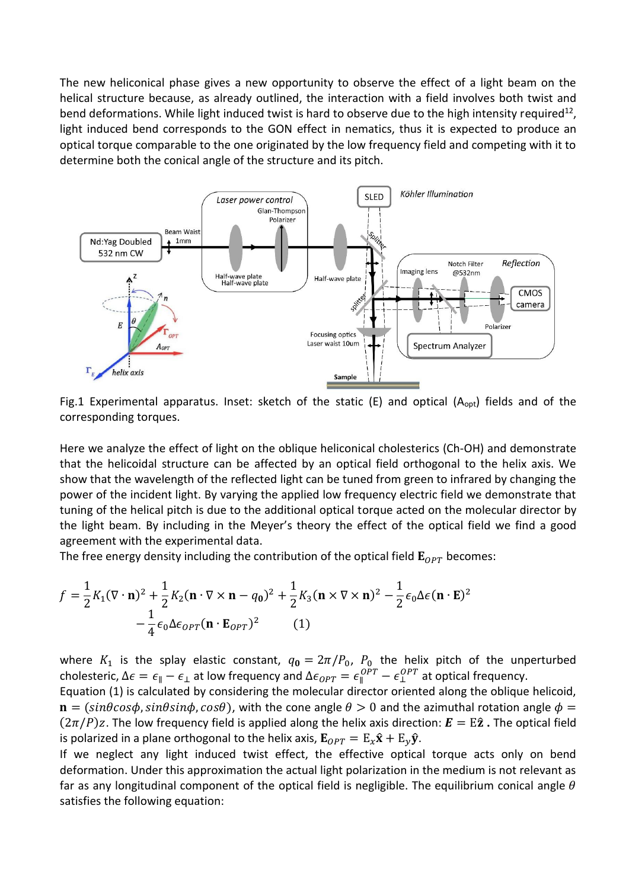The new heliconical phase gives a new opportunity to observe the effect of a light beam on the helical structure because, as already outlined, the interaction with a field involves both twist and bend deformations. While light induced twist is hard to observe due to the high intensity required<sup>12</sup>, light induced bend corresponds to the GON effect in nematics, thus it is expected to produce an optical torque comparable to the one originated by the low frequency field and competing with it to determine both the conical angle of the structure and its pitch.



Fig.1 Experimental apparatus. Inset: sketch of the static (E) and optical (A<sub>opt</sub>) fields and of the corresponding torques.

Here we analyze the effect of light on the oblique heliconical cholesterics (Ch-OH) and demonstrate that the helicoidal structure can be affected by an optical field orthogonal to the helix axis. We show that the wavelength of the reflected light can be tuned from green to infrared by changing the power of the incident light. By varying the applied low frequency electric field we demonstrate that tuning of the helical pitch is due to the additional optical torque acted on the molecular director by the light beam. By including in the Meyer's theory the effect of the optical field we find a good agreement with the experimental data.

The free energy density including the contribution of the optical field  $\mathbf{E}_{OPT}$  becomes:

$$
f = \frac{1}{2}K_1(\nabla \cdot \mathbf{n})^2 + \frac{1}{2}K_2(\mathbf{n} \cdot \nabla \times \mathbf{n} - q_0)^2 + \frac{1}{2}K_3(\mathbf{n} \times \nabla \times \mathbf{n})^2 - \frac{1}{2}\epsilon_0\Delta\epsilon(\mathbf{n} \cdot \mathbf{E})^2 - \frac{1}{4}\epsilon_0\Delta\epsilon_{OPT}(\mathbf{n} \cdot \mathbf{E}_{OPT})^2
$$
 (1)

where  $K_1$  is the splay elastic constant,  $q_0 = 2\pi/P_0$ ,  $P_0$  the helix pitch of the unperturbed cholesteric,  $\Delta \epsilon = \epsilon_{\parallel}-\epsilon_{\perp}$  at low frequency and  $\Delta \epsilon_{OPT} = \epsilon_{\parallel}^{OPT} - \epsilon_{\perp}^{OPT}$  at optical frequency.

Equation (1) is calculated by considering the molecular director oriented along the oblique helicoid,  $\mathbf{n} = (\sin\theta\cos\phi, \sin\theta\sin\phi, \cos\theta)$ , with the cone angle  $\theta > 0$  and the azimuthal rotation angle  $\phi =$  $(2\pi/P)z$ . The low frequency field is applied along the helix axis direction:  $\mathbf{E} = \mathbf{E}\hat{\mathbf{z}}$ . The optical field is polarized in a plane orthogonal to the helix axis,  $\mathbf{E}_{OPT} = E_x \hat{\mathbf{x}} + E_y \hat{\mathbf{y}}$ .

If we neglect any light induced twist effect, the effective optical torque acts only on bend deformation. Under this approximation the actual light polarization in the medium is not relevant as far as any longitudinal component of the optical field is negligible. The equilibrium conical angle  $\theta$ satisfies the following equation: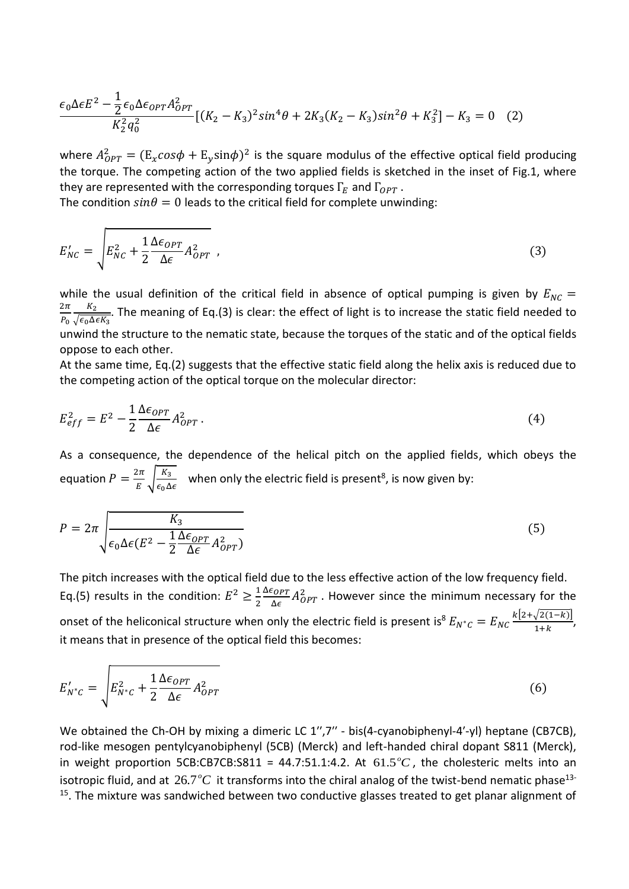$$
\frac{\epsilon_0 \Delta \epsilon E^2 - \frac{1}{2} \epsilon_0 \Delta \epsilon_{OPT} A_{OPT}^2}{K_2^2 q_0^2} [(K_2 - K_3)^2 \sin^4 \theta + 2K_3 (K_2 - K_3) \sin^2 \theta + K_3^2] - K_3 = 0 \quad (2)
$$

where  $A_{OPT}^2 = (\mathbb{E}_x cos \phi + \mathbb{E}_y sin \phi)^2$  is the square modulus of the effective optical field producing the torque. The competing action of the two applied fields is sketched in the inset of Fig.1, where they are represented with the corresponding torques  $\Gamma_E$  and  $\Gamma_{OPT}$ .

The condition  $sin\theta = 0$  leads to the critical field for complete unwinding:

$$
E'_{NC} = \sqrt{E_{NC}^2 + \frac{1}{2} \frac{\Delta \epsilon_{OPT}}{\Delta \epsilon} A_{OPT}^2} \tag{3}
$$

while the usual definition of the critical field in absence of optical pumping is given by  $E_{NC}$  =  $2\pi$  $P_{0}$  $K_2$  $\frac{R_2}{\sqrt{\epsilon_0\Delta\epsilon K_3}}$ . The meaning of Eq.(3) is clear: the effect of light is to increase the static field needed to unwind the structure to the nematic state, because the torques of the static and of the optical fields oppose to each other.

At the same time, Eq.(2) suggests that the effective static field along the helix axis is reduced due to the competing action of the optical torque on the molecular director:

$$
E_{eff}^2 = E^2 - \frac{1}{2} \frac{\Delta \epsilon_{OPT}}{\Delta \epsilon} A_{OPT}^2 \,. \tag{4}
$$

As a consequence, the dependence of the helical pitch on the applied fields, which obeys the equation  $P = \frac{2\pi}{r}$  $\frac{2\pi}{E}$   $\sqrt{\frac{K_3}{\epsilon_0 \Delta}}$  $\frac{\kappa_3}{\epsilon_0 \Delta \epsilon}$  when only the electric field is present<sup>8</sup>, is now given by:

$$
P = 2\pi \sqrt{\frac{K_3}{\epsilon_0 \Delta \epsilon (E^2 - \frac{1}{2} \frac{\Delta \epsilon_{OPT}}{\Delta \epsilon} A_{OPT}^2)}
$$
(5)

The pitch increases with the optical field due to the less effective action of the low frequency field. Eq.(5) results in the condition:  $E^2 \geq \frac{1}{3}$ 2  $\Delta \epsilon_{OPT}$  $\frac{\epsilon_{OPT}}{\Delta \epsilon} A_{OPT}^2$  . However since the minimum necessary for the onset of the heliconical structure when only the electric field is present is<sup>8</sup>  $E_{N^*c} = E_{NC} \frac{k[2+\sqrt{2(1-k)}}{1+k}$  $\frac{\sqrt{2(1-\kappa)}}{1+k},$ it means that in presence of the optical field this becomes:

$$
E'_{N^*c} = \sqrt{E_{N^*c}^2 + \frac{1}{2} \frac{\Delta \epsilon_{OPT}}{\Delta \epsilon} A_{OPT}^2}
$$
 (6)

We obtained the Ch-OH by mixing a dimeric LC 1",7" - bis(4-cyanobiphenyl-4'-yl) heptane (CB7CB), rod-like mesogen pentylcyanobiphenyl (5CB) (Merck) and left-handed chiral dopant S811 (Merck), in weight proportion 5CB:CB7CB:S811 = 44.7:51.1:4.2. At  $61.5^{\circ}C$ , the cholesteric melts into an isotropic fluid, and at  $26.7\,^o\text{C}$  it transforms into the chiral analog of the twist-bend nematic phase<sup>13-</sup> <sup>15</sup>. The mixture was sandwiched between two conductive glasses treated to get planar alignment of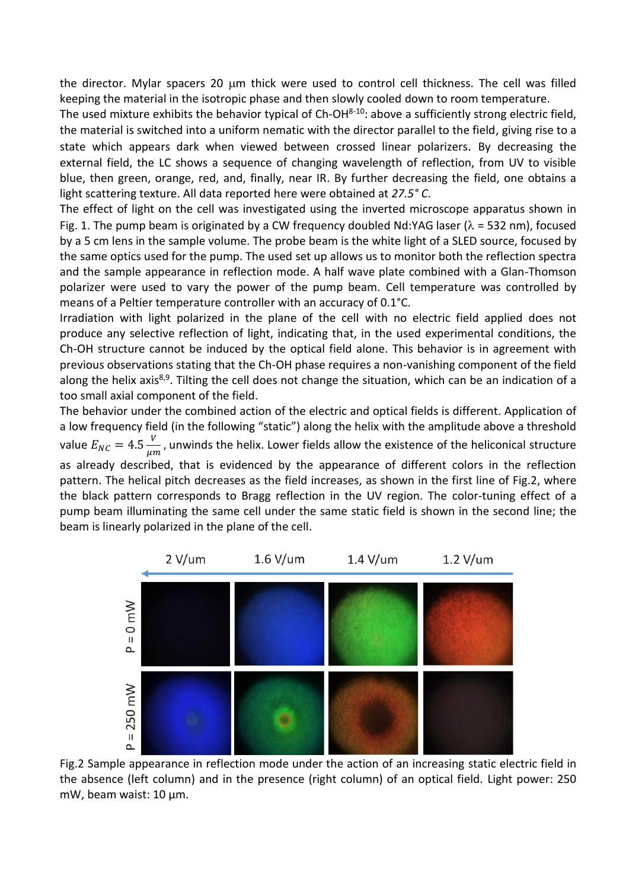the director. Mylar spacers 20 µm thick were used to control cell thickness. The cell was filled keeping the material in the isotropic phase and then slowly cooled down to room temperature.

The used mixture exhibits the behavior typical of Ch-OH<sup>8-10</sup>: above a sufficiently strong electric field, the material is switched into a uniform nematic with the director parallel to the field, giving rise to a state which appears dark when viewed between crossed linear polarizers. By decreasing the external field, the LC shows a sequence of changing wavelength of reflection, from UV to visible blue, then green, orange, red, and, finally, near IR. By further decreasing the field, one obtains a light scattering texture. All data reported here were obtained at *27.5° C*.

The effect of light on the cell was investigated using the inverted microscope apparatus shown in Fig. 1. The pump beam is originated by a CW frequency doubled Nd:YAG laser ( $\lambda$  = 532 nm), focused by a 5 cm lens in the sample volume. The probe beam is the white light of a SLED source, focused by the same optics used for the pump. The used set up allows us to monitor both the reflection spectra and the sample appearance in reflection mode. A half wave plate combined with a Glan-Thomson polarizer were used to vary the power of the pump beam. Cell temperature was controlled by means of a Peltier temperature controller with an accuracy of 0.1°C.

Irradiation with light polarized in the plane of the cell with no electric field applied does not produce any selective reflection of light, indicating that, in the used experimental conditions, the Ch-OH structure cannot be induced by the optical field alone. This behavior is in agreement with previous observations stating that the Ch-OH phase requires a non-vanishing component of the field along the helix axis<sup>8,9</sup>. Tilting the cell does not change the situation, which can be an indication of a too small axial component of the field.

The behavior under the combined action of the electric and optical fields is different. Application of a low frequency field (in the following "static") along the helix with the amplitude above a threshold value  $E_{NC} = 4.5 \frac{V}{\mu r}$  $\frac{v}{\mu m}$ , unwinds the helix. Lower fields allow the existence of the heliconical structure as already described, that is evidenced by the appearance of different colors in the reflection pattern. The helical pitch decreases as the field increases, as shown in the first line of Fig.2, where the black pattern corresponds to Bragg reflection in the UV region. The color-tuning effect of a pump beam illuminating the same cell under the same static field is shown in the second line; the beam is linearly polarized in the plane of the cell.



Fig.2 Sample appearance in reflection mode under the action of an increasing static electric field in the absence (left column) and in the presence (right column) of an optical field. Light power: 250 mW, beam waist: 10 µm.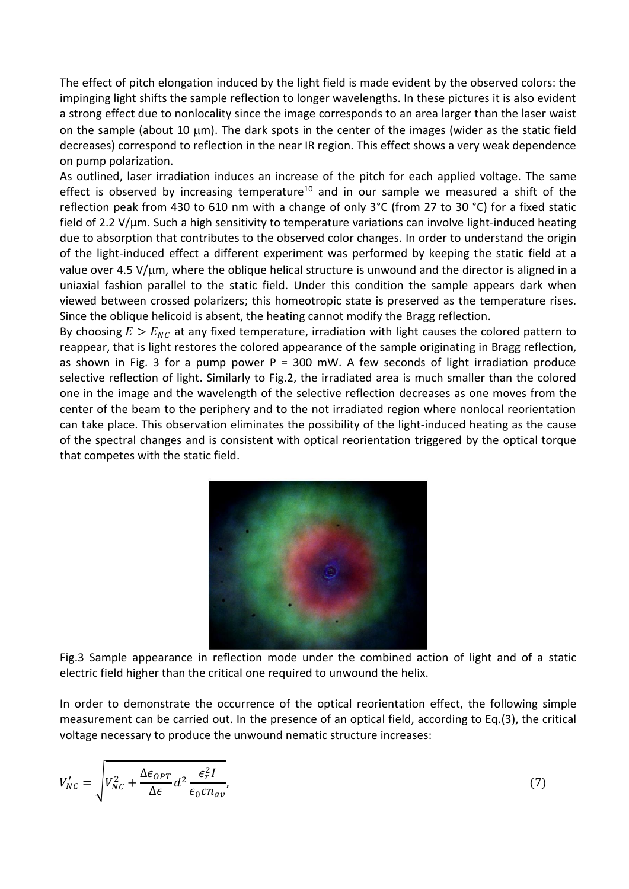The effect of pitch elongation induced by the light field is made evident by the observed colors: the impinging light shifts the sample reflection to longer wavelengths. In these pictures it is also evident a strong effect due to nonlocality since the image corresponds to an area larger than the laser waist on the sample (about 10  $\mu$ m). The dark spots in the center of the images (wider as the static field decreases) correspond to reflection in the near IR region. This effect shows a very weak dependence on pump polarization.

As outlined, laser irradiation induces an increase of the pitch for each applied voltage. The same effect is observed by increasing temperature<sup>10</sup> and in our sample we measured a shift of the reflection peak from 430 to 610 nm with a change of only 3°C (from 27 to 30 °C) for a fixed static field of 2.2 V/µm. Such a high sensitivity to temperature variations can involve light-induced heating due to absorption that contributes to the observed color changes. In order to understand the origin of the light-induced effect a different experiment was performed by keeping the static field at a value over 4.5 V/ $\mu$ m, where the oblique helical structure is unwound and the director is aligned in a uniaxial fashion parallel to the static field. Under this condition the sample appears dark when viewed between crossed polarizers; this homeotropic state is preserved as the temperature rises. Since the oblique helicoid is absent, the heating cannot modify the Bragg reflection.

By choosing  $E > E_{NC}$  at any fixed temperature, irradiation with light causes the colored pattern to reappear, that is light restores the colored appearance of the sample originating in Bragg reflection, as shown in Fig. 3 for a pump power  $P = 300$  mW. A few seconds of light irradiation produce selective reflection of light. Similarly to Fig.2, the irradiated area is much smaller than the colored one in the image and the wavelength of the selective reflection decreases as one moves from the center of the beam to the periphery and to the not irradiated region where nonlocal reorientation can take place. This observation eliminates the possibility of the light-induced heating as the cause of the spectral changes and is consistent with optical reorientation triggered by the optical torque that competes with the static field.



Fig.3 Sample appearance in reflection mode under the combined action of light and of a static electric field higher than the critical one required to unwound the helix.

In order to demonstrate the occurrence of the optical reorientation effect, the following simple measurement can be carried out. In the presence of an optical field, according to Eq.(3), the critical voltage necessary to produce the unwound nematic structure increases:

$$
V'_{NC} = \sqrt{V_{NC}^2 + \frac{\Delta \epsilon_{OPT}}{\Delta \epsilon} d^2 \frac{\epsilon_r^2 I}{\epsilon_0 c n_{av}}},
$$
\n
$$
\tag{7}
$$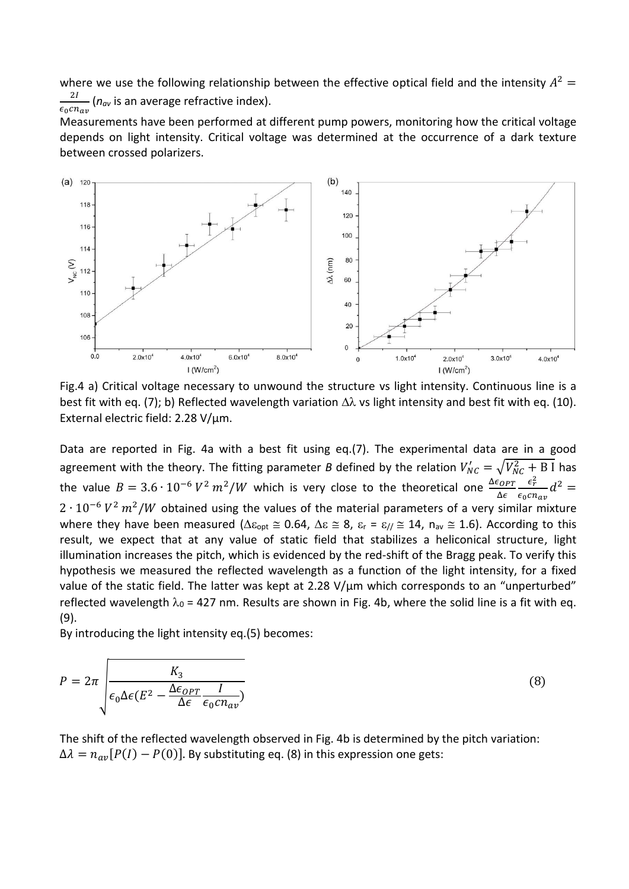where we use the following relationship between the effective optical field and the intensity  $A^2 =$ 2  $\frac{27}{\epsilon_0 c n_{av}}$  ( $n_{av}$  is an average refractive index).

Measurements have been performed at different pump powers, monitoring how the critical voltage depends on light intensity. Critical voltage was determined at the occurrence of a dark texture between crossed polarizers.



Fig.4 a) Critical voltage necessary to unwound the structure vs light intensity. Continuous line is a best fit with eq. (7); b) Reflected wavelength variation  $\Delta\lambda$  vs light intensity and best fit with eq. (10). External electric field: 2.28 V/µm.

Data are reported in Fig. 4a with a best fit using eq.(7). The experimental data are in a good agreement with the theory. The fitting parameter *B* defined by the relation  $V'_{NC} = \sqrt{V_{NC}^2 + B I}$  has the value  $B = 3.6 \cdot 10^{-6} V^2 m^2/W$  which is very close to the theoretical one  $\frac{\Delta \epsilon_{OPT}}{\Delta \epsilon}$ Δ  $\epsilon_r^2$  $\frac{\epsilon_{\tilde{r}}}{\epsilon_0 c n_{av}} d^2 =$  $2 \cdot 10^{-6} V^2 m^2/W$  obtained using the values of the material parameters of a very similar mixture where they have been measured ( $\Delta \epsilon_{opt} \approx 0.64$ ,  $\Delta \epsilon \approx 8$ ,  $\epsilon_r = \epsilon_{//} \approx 14$ ,  $n_{av} \approx 1.6$ ). According to this result, we expect that at any value of static field that stabilizes a heliconical structure, light illumination increases the pitch, which is evidenced by the red-shift of the Bragg peak. To verify this hypothesis we measured the reflected wavelength as a function of the light intensity, for a fixed value of the static field. The latter was kept at 2.28 V/um which corresponds to an "unperturbed" reflected wavelength  $\lambda_0$  = 427 nm. Results are shown in Fig. 4b, where the solid line is a fit with eq. (9).

By introducing the light intensity eq.(5) becomes:

$$
P = 2\pi \int \frac{K_3}{\epsilon_0 \Delta \epsilon (E^2 - \frac{\Delta \epsilon_{OPT}}{\Delta \epsilon} \frac{I}{\epsilon_0 c n_{av}})}
$$
(8)

The shift of the reflected wavelength observed in Fig. 4b is determined by the pitch variation:  $\Delta \lambda = n_{av} [P(I) - P(0)]$ . By substituting eq. (8) in this expression one gets: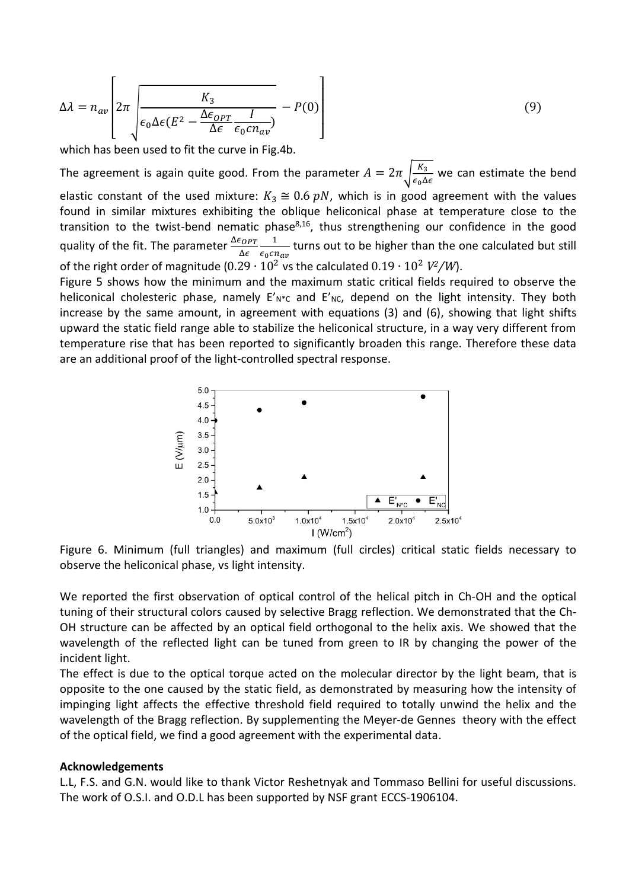$$
\Delta \lambda = n_{av} \left[ 2\pi \left[ \frac{K_3}{\epsilon_0 \Delta \epsilon (E^2 - \frac{\Delta \epsilon_{OPT}}{\Delta \epsilon} \frac{I}{\epsilon_0 c n_{av}})} - P(0) \right] \right]
$$
(9)

which has been used to fit the curve in Fig.4b.

The agreement is again quite good. From the parameter  $A = 2\pi \sqrt{\frac{K_3}{\epsilon A}}$  $\frac{\mu_3}{\epsilon_0 \Delta \epsilon}$  we can estimate the bend elastic constant of the used mixture:  $K_3 \cong 0.6$  pN, which is in good agreement with the values found in similar mixtures exhibiting the oblique heliconical phase at temperature close to the transition to the twist-bend nematic phase<sup>8,16</sup>, thus strengthening our confidence in the good quality of the fit. The parameter  $\frac{\Delta \epsilon_{OPT}}{\Delta \epsilon}$ Δ 1  $\frac{1}{\epsilon_0 c n_{av}}$  turns out to be higher than the one calculated but still of the right order of magnitude  $(0.29 \cdot 10^2 \text{ vs the calculated } 0.19 \cdot 10^2 \text{ V}^2/W)$ .

Figure 5 shows how the minimum and the maximum static critical fields required to observe the heliconical cholesteric phase, namely  $E'_{N+C}$  and  $E'_{NC}$ , depend on the light intensity. They both increase by the same amount, in agreement with equations (3) and (6), showing that light shifts upward the static field range able to stabilize the heliconical structure, in a way very different from temperature rise that has been reported to significantly broaden this range. Therefore these data are an additional proof of the light-controlled spectral response.



Figure 6. Minimum (full triangles) and maximum (full circles) critical static fields necessary to observe the heliconical phase, vs light intensity.

We reported the first observation of optical control of the helical pitch in Ch-OH and the optical tuning of their structural colors caused by selective Bragg reflection. We demonstrated that the Ch-OH structure can be affected by an optical field orthogonal to the helix axis. We showed that the wavelength of the reflected light can be tuned from green to IR by changing the power of the incident light.

The effect is due to the optical torque acted on the molecular director by the light beam, that is opposite to the one caused by the static field, as demonstrated by measuring how the intensity of impinging light affects the effective threshold field required to totally unwind the helix and the wavelength of the Bragg reflection. By supplementing the Meyer-de Gennes theory with the effect of the optical field, we find a good agreement with the experimental data.

## **Acknowledgements**

L.L, F.S. and G.N. would like to thank Victor Reshetnyak and Tommaso Bellini for useful discussions. The work of O.S.I. and O.D.L has been supported by NSF grant ECCS-1906104.